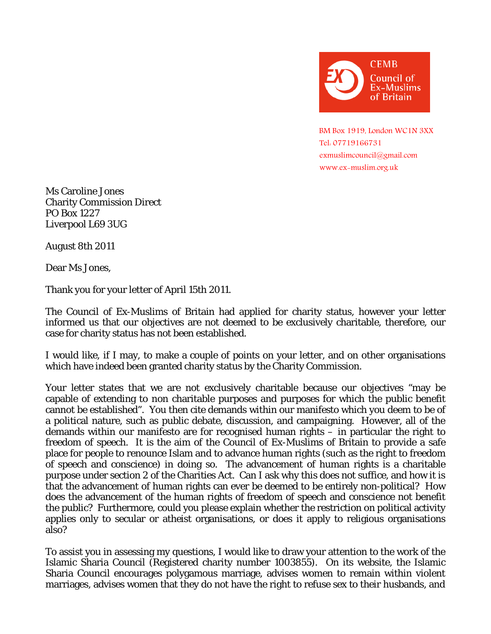

 BM Box 1919, London WC1N 3XX Tel: 07719166731 [exmuslimcouncil@gmail.com](mailto:exmuslimcouncil@gmail.com) [www.ex-muslim.org.uk](http://www.ex-muslim.org.uk/)

Ms Caroline Jones Charity Commission Direct PO Box 1227 Liverpool L69 3UG

August 8th 2011

Dear Ms Jones,

Thank you for your letter of April 15th 2011.

The Council of Ex-Muslims of Britain had applied for charity status, however your letter informed us that our objectives are not deemed to be exclusively charitable, therefore, our case for charity status has not been established.

I would like, if I may, to make a couple of points on your letter, and on other organisations which have indeed been granted charity status by the Charity Commission.

Your letter states that we are not exclusively charitable because our objectives "may be capable of extending to non charitable purposes and purposes for which the public benefit cannot be established". You then cite demands within our manifesto which you deem to be of a political nature, such as public debate, discussion, and campaigning. However, all of the demands within our manifesto are for recognised human rights – in particular the right to freedom of speech. It is the aim of the Council of Ex-Muslims of Britain to provide a safe place for people to renounce Islam and to advance human rights (such as the right to freedom of speech and conscience) in doing so. The advancement of human rights is a charitable purpose under section 2 of the Charities Act. Can I ask why this does not suffice, and how it is that the advancement of human rights can ever be deemed to be entirely non-political? How does the advancement of the human rights of freedom of speech and conscience not benefit the public? Furthermore, could you please explain whether the restriction on political activity applies only to secular or atheist organisations, or does it apply to religious organisations also?

To assist you in assessing my questions, I would like to draw your attention to the work of the Islamic Sharia Council (Registered charity number 1003855). On its website, the Islamic Sharia Council encourages polygamous marriage, advises women to remain within violent marriages, advises women that they do not have the right to refuse sex to their husbands, and